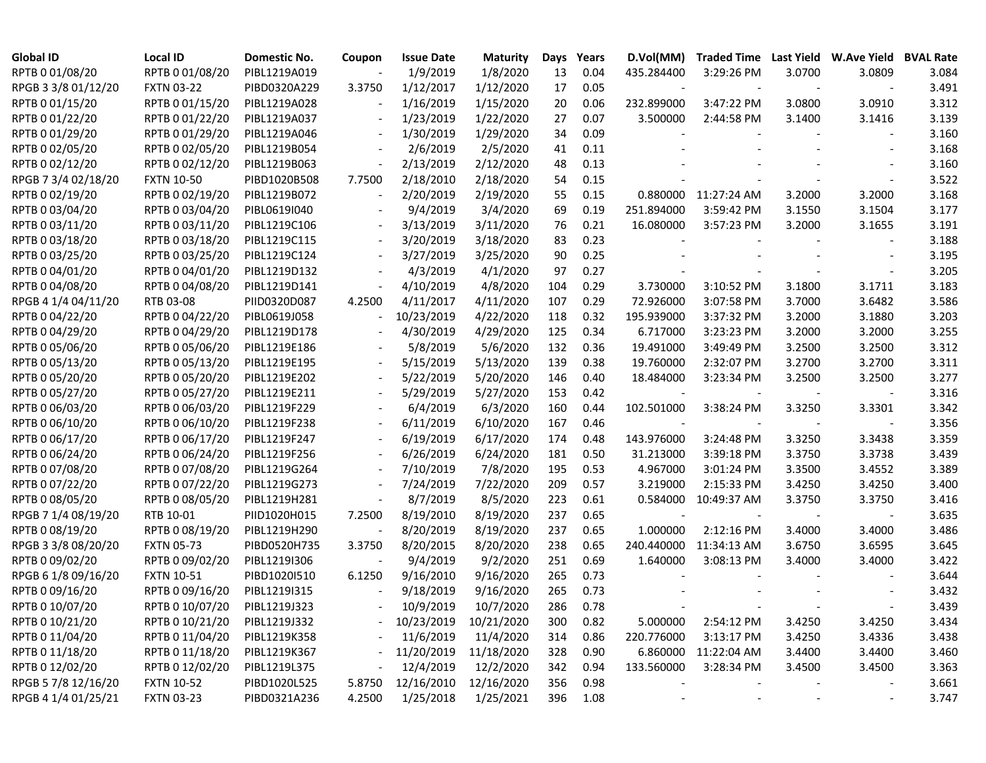| <b>Global ID</b>    | <b>Local ID</b>   | Domestic No. | Coupon                   | <b>Issue Date</b> | <b>Maturity</b> | Days | Years | D.Vol(MM)  |                      |                          | Traded Time Last Yield W.Ave Yield | <b>BVAL Rate</b> |
|---------------------|-------------------|--------------|--------------------------|-------------------|-----------------|------|-------|------------|----------------------|--------------------------|------------------------------------|------------------|
| RPTB 0 01/08/20     | RPTB 0 01/08/20   | PIBL1219A019 |                          | 1/9/2019          | 1/8/2020        | 13   | 0.04  | 435.284400 | 3:29:26 PM           | 3.0700                   | 3.0809                             | 3.084            |
| RPGB 3 3/8 01/12/20 | <b>FXTN 03-22</b> | PIBD0320A229 | 3.3750                   | 1/12/2017         | 1/12/2020       | 17   | 0.05  |            |                      |                          |                                    | 3.491            |
| RPTB 0 01/15/20     | RPTB 0 01/15/20   | PIBL1219A028 |                          | 1/16/2019         | 1/15/2020       | 20   | 0.06  | 232.899000 | 3:47:22 PM           | 3.0800                   | 3.0910                             | 3.312            |
| RPTB 0 01/22/20     | RPTB 0 01/22/20   | PIBL1219A037 |                          | 1/23/2019         | 1/22/2020       | 27   | 0.07  | 3.500000   | 2:44:58 PM           | 3.1400                   | 3.1416                             | 3.139            |
| RPTB 0 01/29/20     | RPTB 0 01/29/20   | PIBL1219A046 |                          | 1/30/2019         | 1/29/2020       | 34   | 0.09  |            |                      |                          |                                    | 3.160            |
| RPTB 0 02/05/20     | RPTB 0 02/05/20   | PIBL1219B054 |                          | 2/6/2019          | 2/5/2020        | 41   | 0.11  |            |                      |                          |                                    | 3.168            |
| RPTB 0 02/12/20     | RPTB 0 02/12/20   | PIBL1219B063 | $\overline{\phantom{a}}$ | 2/13/2019         | 2/12/2020       | 48   | 0.13  |            |                      |                          |                                    | 3.160            |
| RPGB 7 3/4 02/18/20 | <b>FXTN 10-50</b> | PIBD1020B508 | 7.7500                   | 2/18/2010         | 2/18/2020       | 54   | 0.15  |            |                      |                          |                                    | 3.522            |
| RPTB 0 02/19/20     | RPTB 0 02/19/20   | PIBL1219B072 | $\overline{\phantom{a}}$ | 2/20/2019         | 2/19/2020       | 55   | 0.15  |            | 0.880000 11:27:24 AM | 3.2000                   | 3.2000                             | 3.168            |
| RPTB 0 03/04/20     | RPTB 0 03/04/20   | PIBL0619I040 |                          | 9/4/2019          | 3/4/2020        | 69   | 0.19  | 251.894000 | 3:59:42 PM           | 3.1550                   | 3.1504                             | 3.177            |
| RPTB 0 03/11/20     | RPTB 0 03/11/20   | PIBL1219C106 | $\overline{\phantom{a}}$ | 3/13/2019         | 3/11/2020       | 76   | 0.21  | 16.080000  | 3:57:23 PM           | 3.2000                   | 3.1655                             | 3.191            |
| RPTB 0 03/18/20     | RPTB 0 03/18/20   | PIBL1219C115 | $\overline{\phantom{a}}$ | 3/20/2019         | 3/18/2020       | 83   | 0.23  |            |                      |                          |                                    | 3.188            |
| RPTB 0 03/25/20     | RPTB 0 03/25/20   | PIBL1219C124 |                          | 3/27/2019         | 3/25/2020       | 90   | 0.25  |            |                      |                          |                                    | 3.195            |
| RPTB 0 04/01/20     | RPTB 0 04/01/20   | PIBL1219D132 |                          | 4/3/2019          | 4/1/2020        | 97   | 0.27  |            |                      |                          |                                    | 3.205            |
| RPTB 0 04/08/20     | RPTB 0 04/08/20   | PIBL1219D141 | $\frac{1}{2}$            | 4/10/2019         | 4/8/2020        | 104  | 0.29  | 3.730000   | 3:10:52 PM           | 3.1800                   | 3.1711                             | 3.183            |
| RPGB 4 1/4 04/11/20 | RTB 03-08         | PIID0320D087 | 4.2500                   | 4/11/2017         | 4/11/2020       | 107  | 0.29  | 72.926000  | 3:07:58 PM           | 3.7000                   | 3.6482                             | 3.586            |
| RPTB 0 04/22/20     | RPTB 0 04/22/20   | PIBL0619J058 | $\overline{\phantom{a}}$ | 10/23/2019        | 4/22/2020       | 118  | 0.32  | 195.939000 | 3:37:32 PM           | 3.2000                   | 3.1880                             | 3.203            |
| RPTB 0 04/29/20     | RPTB 0 04/29/20   | PIBL1219D178 |                          | 4/30/2019         | 4/29/2020       | 125  | 0.34  | 6.717000   | 3:23:23 PM           | 3.2000                   | 3.2000                             | 3.255            |
| RPTB 0 05/06/20     | RPTB 0 05/06/20   | PIBL1219E186 |                          | 5/8/2019          | 5/6/2020        | 132  | 0.36  | 19.491000  | 3:49:49 PM           | 3.2500                   | 3.2500                             | 3.312            |
| RPTB 0 05/13/20     | RPTB 0 05/13/20   | PIBL1219E195 |                          | 5/15/2019         | 5/13/2020       | 139  | 0.38  | 19.760000  | 2:32:07 PM           | 3.2700                   | 3.2700                             | 3.311            |
| RPTB 0 05/20/20     | RPTB 0 05/20/20   | PIBL1219E202 |                          | 5/22/2019         | 5/20/2020       | 146  | 0.40  | 18.484000  | 3:23:34 PM           | 3.2500                   | 3.2500                             | 3.277            |
| RPTB 0 05/27/20     | RPTB 0 05/27/20   | PIBL1219E211 |                          | 5/29/2019         | 5/27/2020       | 153  | 0.42  |            |                      |                          |                                    | 3.316            |
| RPTB 0 06/03/20     | RPTB 0 06/03/20   | PIBL1219F229 |                          | 6/4/2019          | 6/3/2020        | 160  | 0.44  | 102.501000 | 3:38:24 PM           | 3.3250                   | 3.3301                             | 3.342            |
| RPTB 0 06/10/20     | RPTB 0 06/10/20   | PIBL1219F238 |                          | 6/11/2019         | 6/10/2020       | 167  | 0.46  |            |                      |                          |                                    | 3.356            |
| RPTB 0 06/17/20     | RPTB 0 06/17/20   | PIBL1219F247 |                          | 6/19/2019         | 6/17/2020       | 174  | 0.48  | 143.976000 | 3:24:48 PM           | 3.3250                   | 3.3438                             | 3.359            |
| RPTB 0 06/24/20     | RPTB 0 06/24/20   | PIBL1219F256 |                          | 6/26/2019         | 6/24/2020       | 181  | 0.50  | 31.213000  | 3:39:18 PM           | 3.3750                   | 3.3738                             | 3.439            |
| RPTB 0 07/08/20     | RPTB 0 07/08/20   | PIBL1219G264 |                          | 7/10/2019         | 7/8/2020        | 195  | 0.53  | 4.967000   | 3:01:24 PM           | 3.3500                   | 3.4552                             | 3.389            |
| RPTB 0 07/22/20     | RPTB 0 07/22/20   | PIBL1219G273 |                          | 7/24/2019         | 7/22/2020       | 209  | 0.57  | 3.219000   | 2:15:33 PM           | 3.4250                   | 3.4250                             | 3.400            |
| RPTB 0 08/05/20     | RPTB 0 08/05/20   | PIBL1219H281 | $\overline{a}$           | 8/7/2019          | 8/5/2020        | 223  | 0.61  | 0.584000   | 10:49:37 AM          | 3.3750                   | 3.3750                             | 3.416            |
| RPGB 7 1/4 08/19/20 | RTB 10-01         | PIID1020H015 | 7.2500                   | 8/19/2010         | 8/19/2020       | 237  | 0.65  |            |                      |                          |                                    | 3.635            |
| RPTB 0 08/19/20     | RPTB 0 08/19/20   | PIBL1219H290 |                          | 8/20/2019         | 8/19/2020       | 237  | 0.65  | 1.000000   | 2:12:16 PM           | 3.4000                   | 3.4000                             | 3.486            |
| RPGB 3 3/8 08/20/20 | <b>FXTN 05-73</b> | PIBD0520H735 | 3.3750                   | 8/20/2015         | 8/20/2020       | 238  | 0.65  | 240.440000 | 11:34:13 AM          | 3.6750                   | 3.6595                             | 3.645            |
| RPTB 0 09/02/20     | RPTB 0 09/02/20   | PIBL1219I306 |                          | 9/4/2019          | 9/2/2020        | 251  | 0.69  | 1.640000   | 3:08:13 PM           | 3.4000                   | 3.4000                             | 3.422            |
| RPGB 6 1/8 09/16/20 | <b>FXTN 10-51</b> | PIBD1020I510 | 6.1250                   | 9/16/2010         | 9/16/2020       | 265  | 0.73  |            |                      |                          |                                    | 3.644            |
| RPTB 0 09/16/20     | RPTB 0 09/16/20   | PIBL1219I315 |                          | 9/18/2019         | 9/16/2020       | 265  | 0.73  |            |                      |                          |                                    | 3.432            |
| RPTB 0 10/07/20     | RPTB 0 10/07/20   | PIBL1219J323 |                          | 10/9/2019         | 10/7/2020       | 286  | 0.78  |            |                      |                          |                                    | 3.439            |
| RPTB 0 10/21/20     | RPTB 0 10/21/20   | PIBL1219J332 |                          | 10/23/2019        | 10/21/2020      | 300  | 0.82  | 5.000000   | 2:54:12 PM           | 3.4250                   | 3.4250                             | 3.434            |
| RPTB 0 11/04/20     | RPTB 0 11/04/20   | PIBL1219K358 |                          | 11/6/2019         | 11/4/2020       | 314  | 0.86  | 220.776000 | 3:13:17 PM           | 3.4250                   | 3.4336                             | 3.438            |
| RPTB 0 11/18/20     | RPTB 0 11/18/20   | PIBL1219K367 |                          | 11/20/2019        | 11/18/2020      | 328  | 0.90  | 6.860000   | 11:22:04 AM          | 3.4400                   | 3.4400                             | 3.460            |
| RPTB 0 12/02/20     | RPTB 0 12/02/20   | PIBL1219L375 |                          | 12/4/2019         | 12/2/2020       | 342  | 0.94  | 133.560000 | 3:28:34 PM           | 3.4500                   | 3.4500                             | 3.363            |
| RPGB 5 7/8 12/16/20 | <b>FXTN 10-52</b> | PIBD1020L525 | 5.8750                   | 12/16/2010        | 12/16/2020      | 356  | 0.98  |            |                      |                          |                                    | 3.661            |
| RPGB 4 1/4 01/25/21 | <b>FXTN 03-23</b> | PIBD0321A236 | 4.2500                   | 1/25/2018         | 1/25/2021       | 396  | 1.08  |            |                      | $\overline{\phantom{a}}$ | $\overline{\phantom{a}}$           | 3.747            |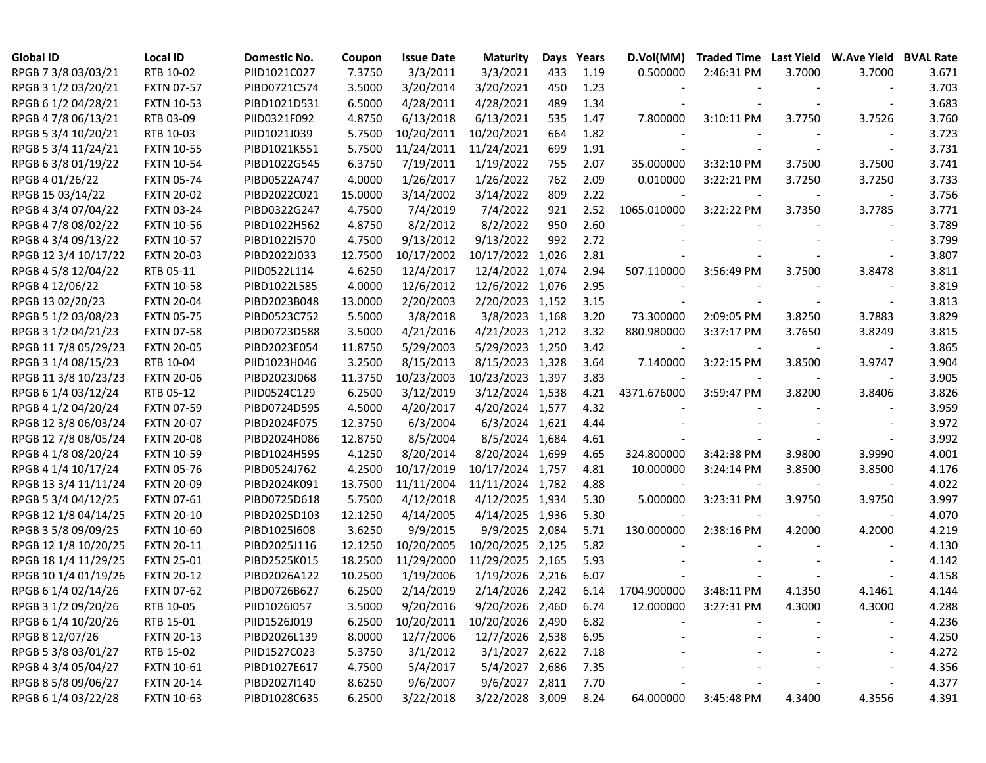| <b>Global ID</b>     | <b>Local ID</b>   | Domestic No. | Coupon  | <b>Issue Date</b> | <b>Maturity</b>  | Days  | Years | D.Vol(MM)   | <b>Traded Time Last Yield</b> |        | <b>W.Ave Yield</b> | <b>BVAL Rate</b> |
|----------------------|-------------------|--------------|---------|-------------------|------------------|-------|-------|-------------|-------------------------------|--------|--------------------|------------------|
| RPGB 7 3/8 03/03/21  | RTB 10-02         | PIID1021C027 | 7.3750  | 3/3/2011          | 3/3/2021         | 433   | 1.19  | 0.500000    | 2:46:31 PM                    | 3.7000 | 3.7000             | 3.671            |
| RPGB 3 1/2 03/20/21  | <b>FXTN 07-57</b> | PIBD0721C574 | 3.5000  | 3/20/2014         | 3/20/2021        | 450   | 1.23  |             |                               |        |                    | 3.703            |
| RPGB 6 1/2 04/28/21  | <b>FXTN 10-53</b> | PIBD1021D531 | 6.5000  | 4/28/2011         | 4/28/2021        | 489   | 1.34  |             |                               |        |                    | 3.683            |
| RPGB 4 7/8 06/13/21  | RTB 03-09         | PIID0321F092 | 4.8750  | 6/13/2018         | 6/13/2021        | 535   | 1.47  | 7.800000    | 3:10:11 PM                    | 3.7750 | 3.7526             | 3.760            |
| RPGB 5 3/4 10/20/21  | RTB 10-03         | PIID1021J039 | 5.7500  | 10/20/2011        | 10/20/2021       | 664   | 1.82  |             |                               |        |                    | 3.723            |
| RPGB 5 3/4 11/24/21  | <b>FXTN 10-55</b> | PIBD1021K551 | 5.7500  | 11/24/2011        | 11/24/2021       | 699   | 1.91  |             |                               |        |                    | 3.731            |
| RPGB 6 3/8 01/19/22  | <b>FXTN 10-54</b> | PIBD1022G545 | 6.3750  | 7/19/2011         | 1/19/2022        | 755   | 2.07  | 35.000000   | 3:32:10 PM                    | 3.7500 | 3.7500             | 3.741            |
| RPGB 4 01/26/22      | <b>FXTN 05-74</b> | PIBD0522A747 | 4.0000  | 1/26/2017         | 1/26/2022        | 762   | 2.09  | 0.010000    | 3:22:21 PM                    | 3.7250 | 3.7250             | 3.733            |
| RPGB 15 03/14/22     | <b>FXTN 20-02</b> | PIBD2022C021 | 15.0000 | 3/14/2002         | 3/14/2022        | 809   | 2.22  |             |                               |        |                    | 3.756            |
| RPGB 4 3/4 07/04/22  | <b>FXTN 03-24</b> | PIBD0322G247 | 4.7500  | 7/4/2019          | 7/4/2022         | 921   | 2.52  | 1065.010000 | 3:22:22 PM                    | 3.7350 | 3.7785             | 3.771            |
| RPGB 4 7/8 08/02/22  | <b>FXTN 10-56</b> | PIBD1022H562 | 4.8750  | 8/2/2012          | 8/2/2022         | 950   | 2.60  |             |                               |        |                    | 3.789            |
| RPGB 4 3/4 09/13/22  | <b>FXTN 10-57</b> | PIBD1022I570 | 4.7500  | 9/13/2012         | 9/13/2022        | 992   | 2.72  |             |                               |        |                    | 3.799            |
| RPGB 12 3/4 10/17/22 | <b>FXTN 20-03</b> | PIBD2022J033 | 12.7500 | 10/17/2002        | 10/17/2022       | 1,026 | 2.81  |             |                               |        |                    | 3.807            |
| RPGB 4 5/8 12/04/22  | RTB 05-11         | PIID0522L114 | 4.6250  | 12/4/2017         | 12/4/2022        | 1,074 | 2.94  | 507.110000  | 3:56:49 PM                    | 3.7500 | 3.8478             | 3.811            |
| RPGB 4 12/06/22      | <b>FXTN 10-58</b> | PIBD1022L585 | 4.0000  | 12/6/2012         | 12/6/2022 1,076  |       | 2.95  |             |                               |        |                    | 3.819            |
| RPGB 13 02/20/23     | <b>FXTN 20-04</b> | PIBD2023B048 | 13.0000 | 2/20/2003         | 2/20/2023 1,152  |       | 3.15  |             |                               |        |                    | 3.813            |
| RPGB 5 1/2 03/08/23  | <b>FXTN 05-75</b> | PIBD0523C752 | 5.5000  | 3/8/2018          | 3/8/2023 1,168   |       | 3.20  | 73.300000   | 2:09:05 PM                    | 3.8250 | 3.7883             | 3.829            |
| RPGB 3 1/2 04/21/23  | <b>FXTN 07-58</b> | PIBD0723D588 | 3.5000  | 4/21/2016         | 4/21/2023 1,212  |       | 3.32  | 880.980000  | 3:37:17 PM                    | 3.7650 | 3.8249             | 3.815            |
| RPGB 11 7/8 05/29/23 | <b>FXTN 20-05</b> | PIBD2023E054 | 11.8750 | 5/29/2003         | 5/29/2023 1,250  |       | 3.42  |             |                               |        |                    | 3.865            |
| RPGB 3 1/4 08/15/23  | RTB 10-04         | PIID1023H046 | 3.2500  | 8/15/2013         | 8/15/2023 1,328  |       | 3.64  | 7.140000    | 3:22:15 PM                    | 3.8500 | 3.9747             | 3.904            |
| RPGB 11 3/8 10/23/23 | <b>FXTN 20-06</b> | PIBD2023J068 | 11.3750 | 10/23/2003        | 10/23/2023 1,397 |       | 3.83  |             |                               |        |                    | 3.905            |
| RPGB 6 1/4 03/12/24  | RTB 05-12         | PIID0524C129 | 6.2500  | 3/12/2019         | 3/12/2024 1,538  |       | 4.21  | 4371.676000 | 3:59:47 PM                    | 3.8200 | 3.8406             | 3.826            |
| RPGB 4 1/2 04/20/24  | <b>FXTN 07-59</b> | PIBD0724D595 | 4.5000  | 4/20/2017         | 4/20/2024 1,577  |       | 4.32  |             |                               |        |                    | 3.959            |
| RPGB 12 3/8 06/03/24 | <b>FXTN 20-07</b> | PIBD2024F075 | 12.3750 | 6/3/2004          | 6/3/2024 1,621   |       | 4.44  |             |                               |        |                    | 3.972            |
| RPGB 12 7/8 08/05/24 | <b>FXTN 20-08</b> | PIBD2024H086 | 12.8750 | 8/5/2004          | 8/5/2024 1,684   |       | 4.61  |             |                               |        |                    | 3.992            |
| RPGB 4 1/8 08/20/24  | <b>FXTN 10-59</b> | PIBD1024H595 | 4.1250  | 8/20/2014         | 8/20/2024        | 1,699 | 4.65  | 324.800000  | 3:42:38 PM                    | 3.9800 | 3.9990             | 4.001            |
| RPGB 4 1/4 10/17/24  | <b>FXTN 05-76</b> | PIBD0524J762 | 4.2500  | 10/17/2019        | 10/17/2024 1,757 |       | 4.81  | 10.000000   | 3:24:14 PM                    | 3.8500 | 3.8500             | 4.176            |
| RPGB 13 3/4 11/11/24 | <b>FXTN 20-09</b> | PIBD2024K091 | 13.7500 | 11/11/2004        | 11/11/2024 1,782 |       | 4.88  |             |                               |        |                    | 4.022            |
| RPGB 5 3/4 04/12/25  | <b>FXTN 07-61</b> | PIBD0725D618 | 5.7500  | 4/12/2018         | 4/12/2025 1,934  |       | 5.30  | 5.000000    | 3:23:31 PM                    | 3.9750 | 3.9750             | 3.997            |
| RPGB 12 1/8 04/14/25 | <b>FXTN 20-10</b> | PIBD2025D103 | 12.1250 | 4/14/2005         | 4/14/2025 1,936  |       | 5.30  |             |                               |        |                    | 4.070            |
| RPGB 3 5/8 09/09/25  | <b>FXTN 10-60</b> | PIBD1025I608 | 3.6250  | 9/9/2015          | 9/9/2025 2,084   |       | 5.71  | 130.000000  | 2:38:16 PM                    | 4.2000 | 4.2000             | 4.219            |
| RPGB 12 1/8 10/20/25 | <b>FXTN 20-11</b> | PIBD2025J116 | 12.1250 | 10/20/2005        | 10/20/2025 2,125 |       | 5.82  |             |                               |        |                    | 4.130            |
| RPGB 18 1/4 11/29/25 | <b>FXTN 25-01</b> | PIBD2525K015 | 18.2500 | 11/29/2000        | 11/29/2025 2,165 |       | 5.93  |             |                               |        |                    | 4.142            |
| RPGB 10 1/4 01/19/26 | <b>FXTN 20-12</b> | PIBD2026A122 | 10.2500 | 1/19/2006         | 1/19/2026 2,216  |       | 6.07  |             |                               |        |                    | 4.158            |
| RPGB 6 1/4 02/14/26  | <b>FXTN 07-62</b> | PIBD0726B627 | 6.2500  | 2/14/2019         | 2/14/2026 2,242  |       | 6.14  | 1704.900000 | 3:48:11 PM                    | 4.1350 | 4.1461             | 4.144            |
| RPGB 3 1/2 09/20/26  | RTB 10-05         | PIID1026I057 | 3.5000  | 9/20/2016         | 9/20/2026 2,460  |       | 6.74  | 12.000000   | 3:27:31 PM                    | 4.3000 | 4.3000             | 4.288            |
| RPGB 6 1/4 10/20/26  | RTB 15-01         | PIID1526J019 | 6.2500  | 10/20/2011        | 10/20/2026 2,490 |       | 6.82  |             |                               |        |                    | 4.236            |
| RPGB 8 12/07/26      | <b>FXTN 20-13</b> | PIBD2026L139 | 8.0000  | 12/7/2006         | 12/7/2026 2,538  |       | 6.95  |             |                               |        |                    | 4.250            |
| RPGB 5 3/8 03/01/27  | RTB 15-02         | PIID1527C023 | 5.3750  | 3/1/2012          | 3/1/2027 2,622   |       | 7.18  |             |                               |        |                    | 4.272            |
| RPGB 4 3/4 05/04/27  | <b>FXTN 10-61</b> | PIBD1027E617 | 4.7500  | 5/4/2017          | 5/4/2027 2,686   |       | 7.35  |             |                               |        |                    | 4.356            |
| RPGB 8 5/8 09/06/27  | <b>FXTN 20-14</b> | PIBD2027I140 | 8.6250  | 9/6/2007          | 9/6/2027 2,811   |       | 7.70  |             |                               |        |                    | 4.377            |
| RPGB 6 1/4 03/22/28  | <b>FXTN 10-63</b> | PIBD1028C635 | 6.2500  | 3/22/2018         | 3/22/2028 3,009  |       | 8.24  | 64.000000   | 3:45:48 PM                    | 4.3400 | 4.3556             | 4.391            |